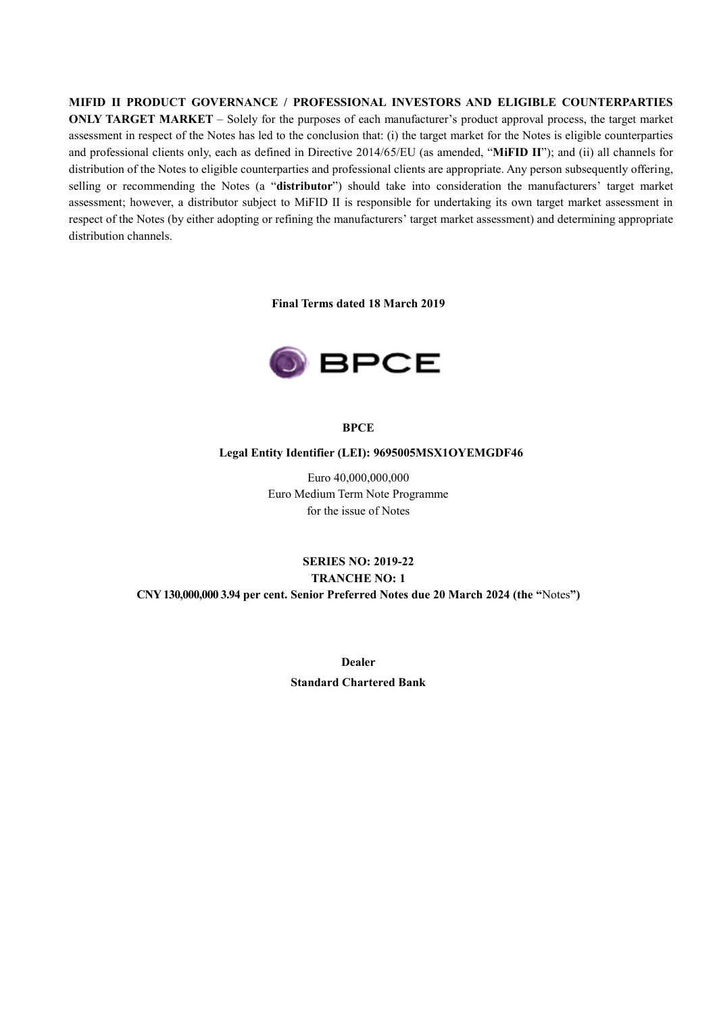**MIFID II PRODUCT GOVERNANCE / PROFESSIONAL INVESTORS AND ELIGIBLE COUNTERPARTIES ONLY TARGET MARKET** – Solely for the purposes of each manufacturer's product approval process, the target market assessment in respect of the Notes has led to the conclusion that: (i) the target market for the Notes is eligible counterparties and professional clients only, each as defined in Directive 2014/65/EU (as amended, "**MiFID II**"); and (ii) all channels for distribution of the Notes to eligible counterparties and professional clients are appropriate. Any person subsequently offering, selling or recommending the Notes (a "**distributor**") should take into consideration the manufacturers' target market assessment; however, a distributor subject to MiFID II is responsible for undertaking its own target market assessment in respect of the Notes (by either adopting or refining the manufacturers' target market assessment) and determining appropriate distribution channels.

**Final Terms dated 18 March 2019**



#### **BPCE**

#### **Legal Entity Identifier (LEI): 9695005MSX1OYEMGDF46**

Euro 40,000,000,000 Euro Medium Term Note Programme for the issue of Notes

# **SERIES NO: 2019-22 TRANCHE NO: 1 CNY130,000,000 3.94 per cent. Senior Preferred Notes due 20 March 2024 (the "**Notes**")**

**Dealer Standard Chartered Bank**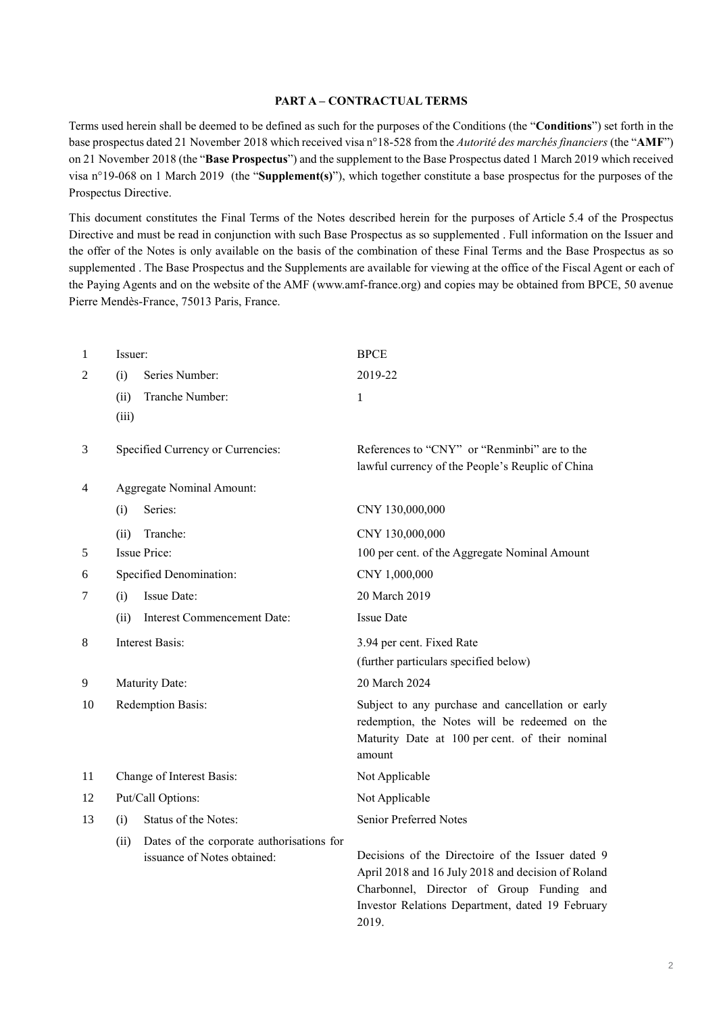#### **PART A – CONTRACTUAL TERMS**

Terms used herein shall be deemed to be defined as such for the purposes of the Conditions (the "**Conditions**") set forth in the base prospectus dated 21 November 2018 which received visa n°18-528 from the *Autorité des marchés financiers* (the "**AMF**") on 21 November 2018 (the "**Base Prospectus**") and the supplement to the Base Prospectus dated 1 March 2019 which received visa n°19-068 on 1 March 2019 (the "**Supplement(s)**"), which together constitute a base prospectus for the purposes of the Prospectus Directive.

This document constitutes the Final Terms of the Notes described herein for the purposes of Article 5.4 of the Prospectus Directive and must be read in conjunction with such Base Prospectus as so supplemented . Full information on the Issuer and the offer of the Notes is only available on the basis of the combination of these Final Terms and the Base Prospectus as so supplemented . The Base Prospectus and the Supplements are available for viewing at the office of the Fiscal Agent or each of the Paying Agents and on the website of the AMF (www.amf-france.org) and copies may be obtained from BPCE, 50 avenue Pierre Mendès-France, 75013 Paris, France.

| 1              | Issuer:                   |                                                                          | <b>BPCE</b>                                                                                                                                                                                                       |
|----------------|---------------------------|--------------------------------------------------------------------------|-------------------------------------------------------------------------------------------------------------------------------------------------------------------------------------------------------------------|
| $\overline{2}$ | (i)                       | Series Number:                                                           | 2019-22                                                                                                                                                                                                           |
|                | (ii)                      | Tranche Number:                                                          | 1                                                                                                                                                                                                                 |
|                | (iii)                     |                                                                          |                                                                                                                                                                                                                   |
| 3              |                           | Specified Currency or Currencies:                                        | References to "CNY" or "Renminbi" are to the<br>lawful currency of the People's Reuplic of China                                                                                                                  |
| 4              | Aggregate Nominal Amount: |                                                                          |                                                                                                                                                                                                                   |
|                | (i)                       | Series:                                                                  | CNY 130,000,000                                                                                                                                                                                                   |
|                | (ii)                      | Tranche:                                                                 | CNY 130,000,000                                                                                                                                                                                                   |
| 5              |                           | <b>Issue Price:</b>                                                      | 100 per cent. of the Aggregate Nominal Amount                                                                                                                                                                     |
| 6              | Specified Denomination:   |                                                                          | CNY 1,000,000                                                                                                                                                                                                     |
| 7              | (i)                       | <b>Issue Date:</b>                                                       | 20 March 2019                                                                                                                                                                                                     |
|                | (ii)                      | Interest Commencement Date:                                              | <b>Issue Date</b>                                                                                                                                                                                                 |
| 8              |                           | <b>Interest Basis:</b>                                                   | 3.94 per cent. Fixed Rate                                                                                                                                                                                         |
|                |                           |                                                                          | (further particulars specified below)                                                                                                                                                                             |
| 9              |                           | Maturity Date:                                                           | 20 March 2024                                                                                                                                                                                                     |
| 10             |                           | Redemption Basis:                                                        | Subject to any purchase and cancellation or early<br>redemption, the Notes will be redeemed on the<br>Maturity Date at 100 per cent. of their nominal<br>amount                                                   |
| 11             |                           | Change of Interest Basis:                                                | Not Applicable                                                                                                                                                                                                    |
| 12             |                           | Put/Call Options:                                                        | Not Applicable                                                                                                                                                                                                    |
| 13             | (i)                       | Status of the Notes:                                                     | Senior Preferred Notes                                                                                                                                                                                            |
|                | (ii)                      | Dates of the corporate authorisations for<br>issuance of Notes obtained: | Decisions of the Directoire of the Issuer dated 9<br>April 2018 and 16 July 2018 and decision of Roland<br>Charbonnel, Director of Group Funding and<br>Investor Relations Department, dated 19 February<br>2019. |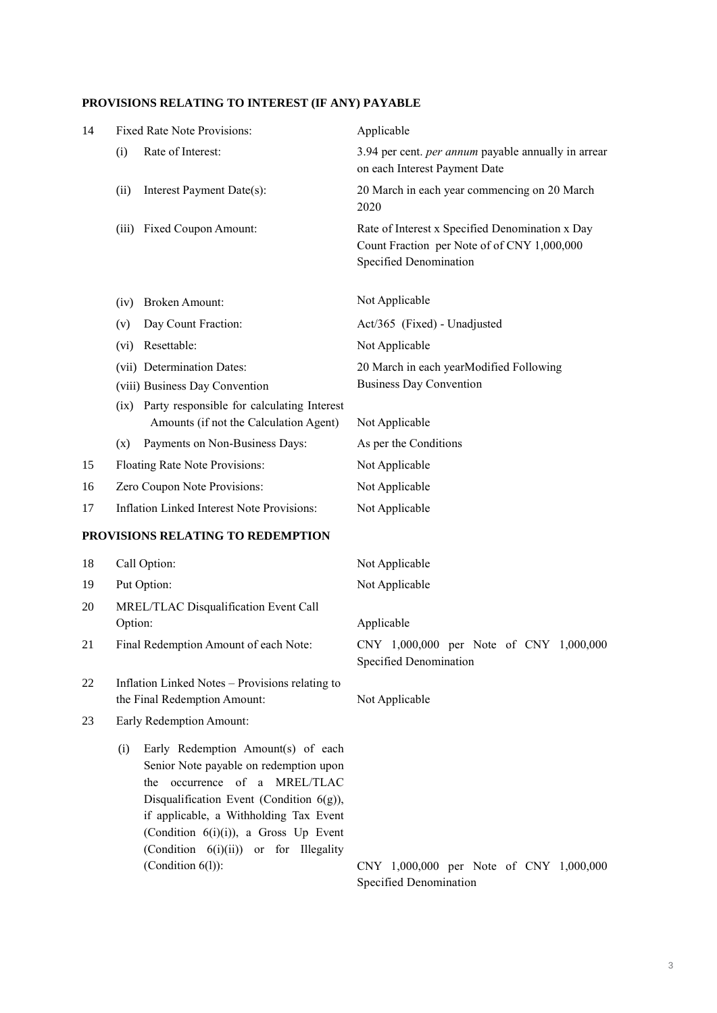# **PROVISIONS RELATING TO INTEREST (IF ANY) PAYABLE**

| 14 | <b>Fixed Rate Note Provisions:</b>                                                                                                                                                                                                                                                                                          | Applicable                                                                                                               |
|----|-----------------------------------------------------------------------------------------------------------------------------------------------------------------------------------------------------------------------------------------------------------------------------------------------------------------------------|--------------------------------------------------------------------------------------------------------------------------|
|    | Rate of Interest:<br>(i)                                                                                                                                                                                                                                                                                                    | 3.94 per cent. per annum payable annually in arrear<br>on each Interest Payment Date                                     |
|    | Interest Payment Date(s):<br>(ii)                                                                                                                                                                                                                                                                                           | 20 March in each year commencing on 20 March<br>2020                                                                     |
|    | (iii) Fixed Coupon Amount:                                                                                                                                                                                                                                                                                                  | Rate of Interest x Specified Denomination x Day<br>Count Fraction per Note of of CNY 1,000,000<br>Specified Denomination |
|    | <b>Broken Amount:</b><br>(iv)                                                                                                                                                                                                                                                                                               | Not Applicable                                                                                                           |
|    | Day Count Fraction:<br>(v)                                                                                                                                                                                                                                                                                                  | Act/365 (Fixed) - Unadjusted                                                                                             |
|    | Resettable:<br>(vi)                                                                                                                                                                                                                                                                                                         | Not Applicable                                                                                                           |
|    | (vii) Determination Dates:<br>(viii) Business Day Convention                                                                                                                                                                                                                                                                | 20 March in each yearModified Following<br><b>Business Day Convention</b>                                                |
|    | (ix) Party responsible for calculating Interest<br>Amounts (if not the Calculation Agent)                                                                                                                                                                                                                                   | Not Applicable                                                                                                           |
|    | Payments on Non-Business Days:<br>(x)                                                                                                                                                                                                                                                                                       | As per the Conditions                                                                                                    |
| 15 | Floating Rate Note Provisions:                                                                                                                                                                                                                                                                                              | Not Applicable                                                                                                           |
| 16 | Zero Coupon Note Provisions:                                                                                                                                                                                                                                                                                                | Not Applicable                                                                                                           |
| 17 | Inflation Linked Interest Note Provisions:                                                                                                                                                                                                                                                                                  | Not Applicable                                                                                                           |
|    | PROVISIONS RELATING TO REDEMPTION                                                                                                                                                                                                                                                                                           |                                                                                                                          |
| 18 | Call Option:                                                                                                                                                                                                                                                                                                                | Not Applicable                                                                                                           |
| 19 | Put Option:                                                                                                                                                                                                                                                                                                                 | Not Applicable                                                                                                           |
| 20 | MREL/TLAC Disqualification Event Call<br>Option:                                                                                                                                                                                                                                                                            | Applicable                                                                                                               |
| 21 | Final Redemption Amount of each Note:                                                                                                                                                                                                                                                                                       | CNY 1,000,000 per Note of CNY 1,000,000<br>Specified Denomination                                                        |
| 22 | Inflation Linked Notes - Provisions relating to<br>the Final Redemption Amount:                                                                                                                                                                                                                                             | Not Applicable                                                                                                           |
| 23 | Early Redemption Amount:                                                                                                                                                                                                                                                                                                    |                                                                                                                          |
|    | Early Redemption Amount(s) of each<br>(i)<br>Senior Note payable on redemption upon<br>the occurrence of a MREL/TLAC<br>Disqualification Event (Condition $6(g)$ ),<br>if applicable, a Withholding Tax Event<br>(Condition $6(i)(i)$ ), a Gross Up Event<br>(Condition 6(i)(ii)) or for Illegality<br>(Condition $6(l)$ ): | CNY 1,000,000 per Note of CNY 1,000,000<br>Specified Denomination                                                        |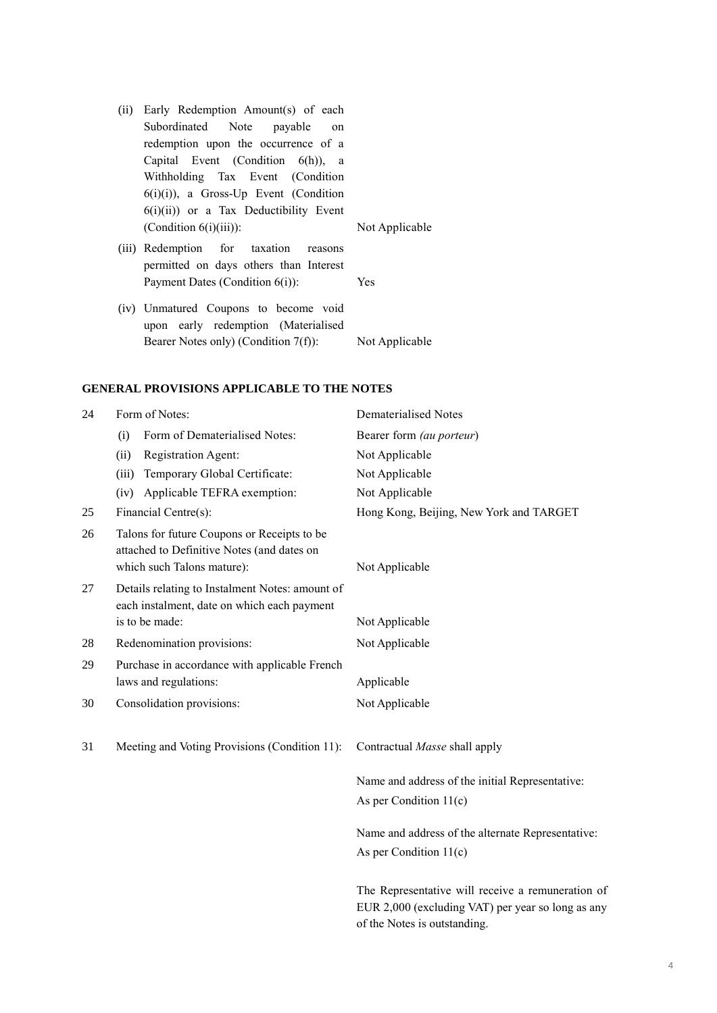- (ii) Early Redemption Amount(s) of each Subordinated Note payable on redemption upon the occurrence of a Capital Event (Condition 6(h)), a Withholding Tax Event (Condition  $6(i)(i)$ ), a Gross-Up Event (Condition 6(i)(ii)) or a Tax Deductibility Event (Condition 6(i)(iii)): Not Applicable
- (iii) Redemption for taxation reasons permitted on days others than Interest Payment Dates (Condition 6(i)): Yes

(iv) Unmatured Coupons to become void upon early redemption (Materialised Bearer Notes only) (Condition 7(f)): Not Applicable

#### **GENERAL PROVISIONS APPLICABLE TO THE NOTES**

| 24 | Form of Notes:                                                                                                          | <b>Dematerialised Notes</b>                                                                                                            |  |
|----|-------------------------------------------------------------------------------------------------------------------------|----------------------------------------------------------------------------------------------------------------------------------------|--|
|    | Form of Dematerialised Notes:<br>(i)                                                                                    | Bearer form (au porteur)                                                                                                               |  |
|    | Registration Agent:<br>(ii)                                                                                             | Not Applicable                                                                                                                         |  |
|    | Temporary Global Certificate:<br>(iii)                                                                                  | Not Applicable                                                                                                                         |  |
|    | Applicable TEFRA exemption:<br>(iv)                                                                                     | Not Applicable                                                                                                                         |  |
| 25 | Financial Centre(s):                                                                                                    | Hong Kong, Beijing, New York and TARGET                                                                                                |  |
| 26 | Talons for future Coupons or Receipts to be<br>attached to Definitive Notes (and dates on<br>which such Talons mature): | Not Applicable                                                                                                                         |  |
| 27 | Details relating to Instalment Notes: amount of<br>each instalment, date on which each payment                          |                                                                                                                                        |  |
|    | is to be made:                                                                                                          | Not Applicable                                                                                                                         |  |
| 28 | Redenomination provisions:                                                                                              | Not Applicable                                                                                                                         |  |
| 29 | Purchase in accordance with applicable French<br>laws and regulations:                                                  | Applicable                                                                                                                             |  |
| 30 | Consolidation provisions:                                                                                               | Not Applicable                                                                                                                         |  |
| 31 | Meeting and Voting Provisions (Condition 11):                                                                           | Contractual Masse shall apply                                                                                                          |  |
|    |                                                                                                                         | Name and address of the initial Representative:                                                                                        |  |
|    |                                                                                                                         | As per Condition $11(c)$                                                                                                               |  |
|    |                                                                                                                         | Name and address of the alternate Representative:                                                                                      |  |
|    |                                                                                                                         | As per Condition $11(c)$                                                                                                               |  |
|    |                                                                                                                         | The Representative will receive a remuneration of<br>EUR 2,000 (excluding VAT) per year so long as any<br>of the Notes is outstanding. |  |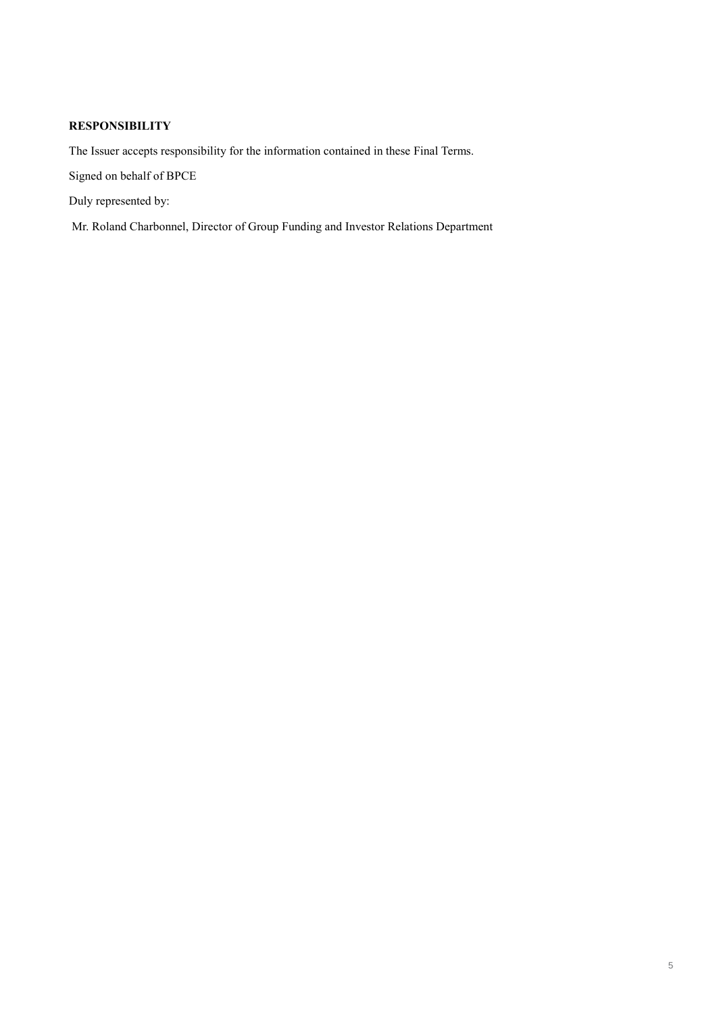## **RESPONSIBILITY**

The Issuer accepts responsibility for the information contained in these Final Terms.

Signed on behalf of BPCE

Duly represented by:

Mr. Roland Charbonnel, Director of Group Funding and Investor Relations Department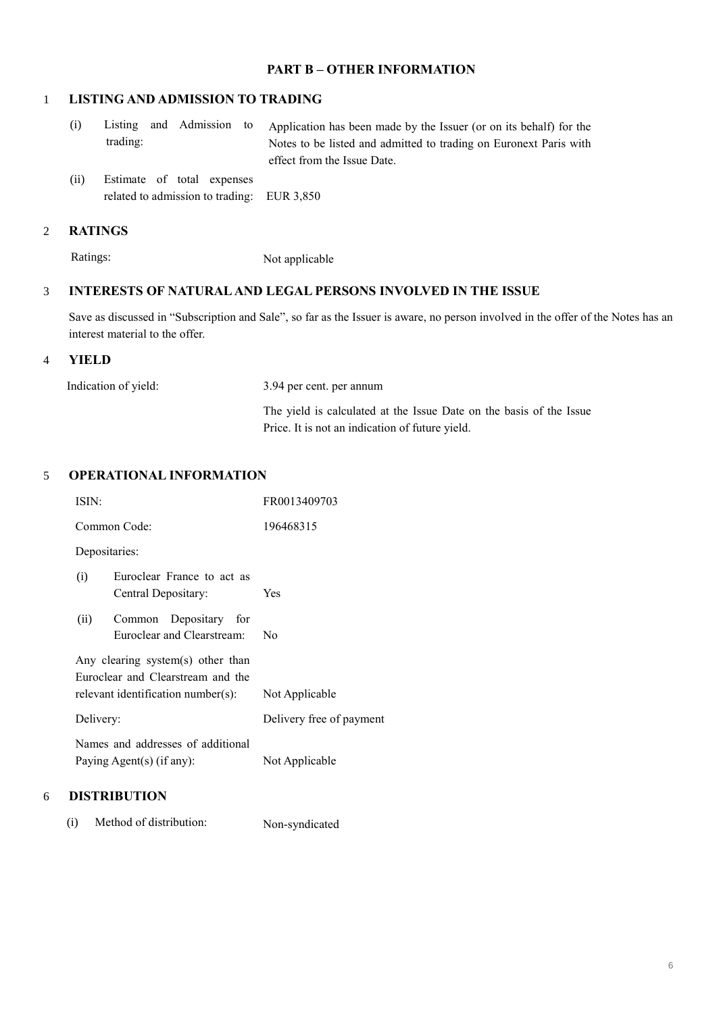## **PART B – OTHER INFORMATION**

### 1 **LISTING AND ADMISSION TO TRADING**

- (i) Listing and Admission to trading: Application has been made by the Issuer (or on its behalf) for the Notes to be listed and admitted to trading on Euronext Paris with effect from the Issue Date.
- (ii) Estimate of total expenses related to admission to trading: EUR 3,850

## 2 **RATINGS**

Ratings: Not applicable

### 3 **INTERESTS OF NATURAL AND LEGAL PERSONS INVOLVED IN THE ISSUE**

Save as discussed in "Subscription and Sale", so far as the Issuer is aware, no person involved in the offer of the Notes has an interest material to the offer.

#### 4 **YIELD**

| Indication of yield: | 3.94 per cent. per annum                                                                                               |  |
|----------------------|------------------------------------------------------------------------------------------------------------------------|--|
|                      | The yield is calculated at the Issue Date on the basis of the Issue<br>Price. It is not an indication of future yield. |  |

## 5 **OPERATIONAL INFORMATION**

| ISIN:                                                          |                                                                                                              | FR0013409703             |
|----------------------------------------------------------------|--------------------------------------------------------------------------------------------------------------|--------------------------|
| Common Code:                                                   |                                                                                                              | 196468315                |
|                                                                | Depositaries:                                                                                                |                          |
| (i)                                                            | Euroclear France to act as<br>Central Depositary:                                                            | Yes                      |
| (ii)                                                           | Common Depositary for<br>Euroclear and Clearstream:                                                          | No                       |
|                                                                | Any clearing system(s) other than<br>Euroclear and Clearstream and the<br>relevant identification number(s): | Not Applicable           |
| Delivery:                                                      |                                                                                                              | Delivery free of payment |
| Names and addresses of additional<br>Paying Agent(s) (if any): |                                                                                                              | Not Applicable           |

# 6 **DISTRIBUTION**

(i) Method of distribution: Non-syndicated